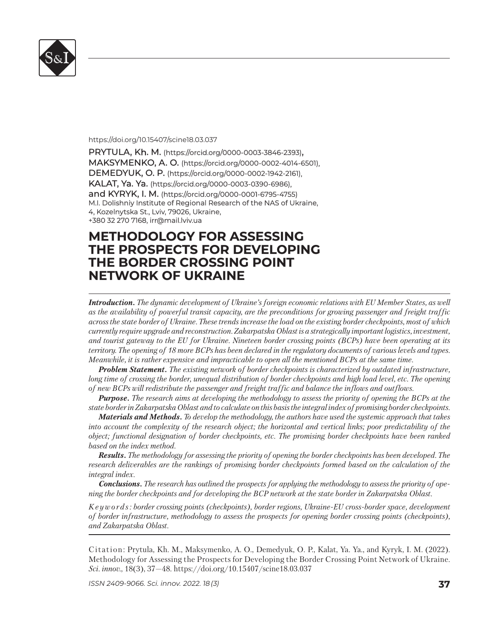

## https://doi.org/10.15407/scine18.03.037

PRYTULA, Kh. M. (https://orcid.org/0000-0003-3846-2393), MAKSYMENKO, A. O. (https://orcid.org/0000-0002-4014-6501), DEMEDYUK, O. P. (https://orcid.org/0000-0002-1942-2161), KALAT, Ya. Ya. (https://orcid.org/0000-0003-0390-6986), and KYRYK, I. M. (https://orcid.org/0000-0001-6795-4755) M.I. Dolishniy Institute of Regional Research of the NAS of Ukraine, 4, Kozelnytska St., Lviv, 79026, Ukraine, +380 32 270 7168, irr@mail.lviv.ua 380 32 270 7168, irr@mail.lviv.ua

## **METHODOLOGY FOR ASSESSING ETHODOLOGY FOR ASSESSING THE PROSPECTS FOR DEVELOPING HE PROSPECTS FOR DEVELOPING THE BORDER CROSSING POINT HE BORDER CROSSING POINT NETWORK OF UKRAINE ETWORK OF UKRAINE**

*Introduction. The dynamic development of Ukraine's foreign economic relations with EU Member States, as well as the availability of powerful transit capacity, are the preconditions for growing passenger and freight traffic across the state border of Ukraine. These trends increase the load on the existing border checkpoints, most of which currently require upgrade and reconstruction. Zakarpatska Oblast is a strategically important logistics, investment, and tourist gateway to the EU for Ukraine. Nineteen border crossing points (BCPs) have been operating at its territory. The opening of 18 more BCPs has been declared in the regulatory documents of various levels and types. Meanwhile, it is rather expensive and impracticable to open all the mentioned BCPs at the same time.* 

*Problem Statement. The existing network of border checkpoints is characterized by outdated infrastructure, long time of crossing the border, unequal distribution of border checkpoints and high load level, etc. The opening of new BCPs will redistribute the passenger and freight traffic and balance the inflows and outflows.* 

*Purpose. The research aims at developing the methodology to assess the priority of opening the BCPs at the state border in Zakarpatska Oblast and to calculate on this basis the integral index of promising border checkpoints.* 

*Materials and Methods. To develop the methodology, the authors have used the systemic approach that takes into account the complexity of the research object; the horizontal and vertical links; poor predictability of the object; functional designation of border checkpoints, etc. The promising border checkpoints have been ranked based on the index method.*

*Results. The methodology for assessing the priority of opening the border checkpoints has been developed. The research deliverables are the rankings of promising border checkpoints formed based on the calculation of the integral index.* 

*Conclusions. The research has outlined the prospects for applying the methodology to assess the priority of opening the border checkpoints and for developing the BCP network at the state border in Zakarpatska Oblast.*

*K e y w o r d s : border crossing points (checkpoints), border regions, Ukraine-EU cross-border space, development of border infrastructure, methodology to assess the prospects for opening border crossing points (checkpoints), and Zakarpatska Oblast.* 

Citation: Prytula, Kh. M., Maksymenko, А. О., Demedyuk, O. P., Kalat, Ya. Ya., and Kyryk, I. M. (2022). Methodology for Assessing the Prospects for Developing the Border Crossing Point Network of Ukraine. *Sci. in nov.*, 18(3), 37—48. https://doi.org/ 10.15407/scine18.03.037

*ISSN 2409-9066. Sci. innov.* 2022. 18 (3) **37**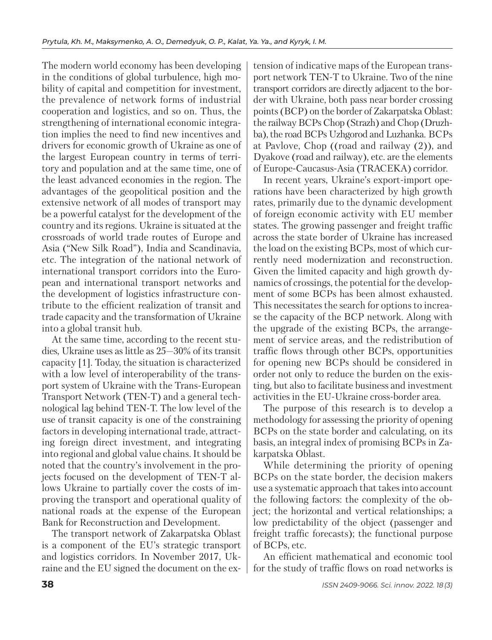The modern world economy has been developing in the conditions of global turbulence, high mobility of capital and competition for investment, the prevalence of network forms of industrial cooperation and logistics, and so on. Thus, the strengthening of international economic integration implies the need to find new incentives and drivers for economic growth of Ukraine as one of the largest European country in terms of territory and population and at the same time, one of the least advanced economies in the region. The advantages of the geopolitical position and the extensive network of all modes of transport may be a powerful catalyst for the development of the country and its regions. Ukraine is situated at the crossroads of world trade routes of Europe and Asia ("New Silk Road"), India and Scandinavia, etc. The integration of the national network of international transport corridors into the European and international transport networks and the development of logistics infrastructure contribute to the efficient realization of transit and trade capacity and the transformation of Ukraine into a global transit hub.

At the same time, according to the recent studies, Ukraine uses as little as 25—30% of its transit capacity [1]. Today, the situation is characterized with a low level of interoperability of the transport system of Ukraine with the Trans-European Transport Network (TEN-T) and a general technological lag behind TEN-T. The low level of the use of transit capacity is one of the constraining factors in developing international trade, attracting foreign direct investment, and integrating into regional and global value chains. It should be noted that the country's involvement in the projects focused on the development of TEN-T allows Ukraine to partially cover the costs of improving the transport and operational quality of national roads at the expense of the European Bank for Reconstruction and Development.

The transport network of Zakarpatska Oblast is a component of the EU's strategic transport and logistics corridors. In November 2017, Ukraine and the EU signed the document on the extension of indicative maps of the European transport network TEN-T to Ukraine. Two of the nine transport corridors are directly adjacent to the border with Ukraine, both pass near border crossing points (BCP) on the border of Zakarpatska Oblast: the railway BCPs Chop (Strazh) and Chop (Druzhba), the road BCPs Uzhgorod and Luzhanka. BCPs at Pavlove, Chop ((road and railway (2)), and Dyakove (road and railway), etc. are the elements of Europe-Caucasus-Asia (TRACEKA) corridor.

In recent years, Ukraine's export-import operations have been characterized by high growth rates, primarily due to the dynamic development of foreign economic activity with EU member states. The growing passenger and freight traffic across the state border of Ukraine has increased the load on the existing BCPs, most of which currently need modernization and reconstruction. Given the limited capacity and high growth dynamics of crossings, the potential for the development of some BCPs has been almost exhausted. This necessitates the search for options to increase the capacity of the BCP network. Along with the upgrade of the existing BCPs, the arrangement of service areas, and the redistribution of traffic flows through other BCPs, opportunities for opening new BCPs should be considered in order not only to reduce the burden on the existing, but also to facilitate business and investment activities in the EU-Ukraine cross-border area.

The purpose of this research is to develop a methodology for assessing the priority of opening BCPs on the state border and calculating, on its basis, an integral index of promising BCPs in Zakarpatska Oblast.

While determining the priority of opening BCPs on the state border, the decision makers use a systematic approach that takes into account the following factors: the complexity of the object; the horizontal and vertical relationships; a low predictability of the object (passenger and freight traffic forecasts); the functional purpose of BCPs, etc.

An efficient mathematical and economic tool for the study of traffic flows on road networks is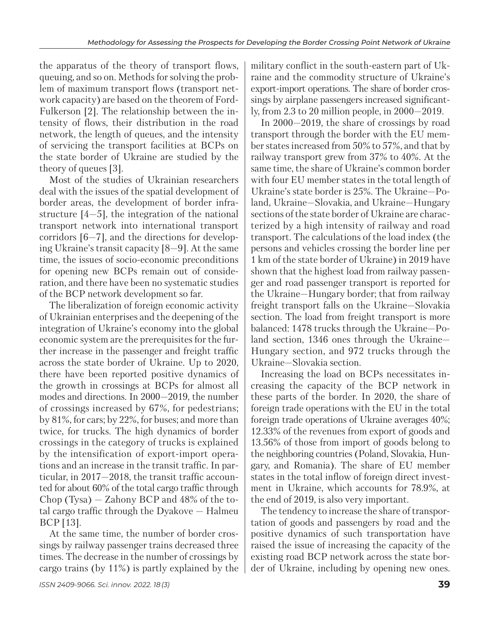the apparatus of the theory of transport flows, queuing, and so on. Methods for solving the problem of maximum transport flows (transport network capacity) are based on the theorem of Ford-Fulkerson [2]. The relationship between the intensity of flows, their distribution in the road network, the length of queues, and the intensity of servicing the transport facilities at BCPs on the state border of Ukraine are studied by the theory of queues [3].

Most of the studies of Ukrainian researchers deal with the issues of the spatial development of border areas, the development of border infrastructure [4—5], the integration of the national transport network into international transport corridors [6—7], and the directions for developing Ukraine's transit capacity [8—9]. At the same time, the issues of socio-economic preconditions for opening new BCPs remain out of consideration, and there have been no systematic studies of the BCP network development so far.

The liberalization of foreign economic activity of Ukrainian enterprises and the deepening of the integration of Ukraine's economy into the global economic system are the prerequisites for the further increase in the passenger and freight traffic across the state border of Ukraine. Up to 2020, there have been reported positive dynamics of the growth in crossings at BCPs for almost all modes and directions. In 2000—2019, the number of crossings increased by 67%, for pedestrians; by 81%, for cars; by 22%, for buses; and more than twice, for trucks. The high dynamics of border crossings in the category of trucks is explained by the intensification of export-import operations and an increase in the transit traffic. In particular, in 2017—2018, the transit traffic accounted for about 60% of the total cargo traffic through Chop (Tysa) — Zahony BCP and 48% of the total cargo traffic through the Dyakove — Halmeu BCP [13].

At the same time, the number of border crossings by railway passenger trains decreased three times. The decrease in the number of crossings by cargo trains (by 11%) is partly explained by the

*ISSN 2409-9066. Sci. innov.* 2022. 18 (3) **39**

military conflict in the south-eastern part of Ukraine and the commodity structure of Ukraine's export-import operations. The share of border crossings by airplane passengers increased significantly, from 2.3 to 20 million people, in 2000—2019.

In 2000—2019, the share of crossings by road transport through the border with the EU member states increased from 50% to 57%, and that by railway transport grew from 37% to 40%. At the same time, the share of Ukraine's common border with four EU member states in the total length of Ukraine's state border is 25%. The Ukraine—Poland, Ukraine—Slovakia, and Ukraine—Hungary sections of the state border of Ukraine are characterized by a high intensity of railway and road transport. The calculations of the load index (the persons and vehicles crossing the border line per 1 km of the state border of Ukraine) in 2019 have shown that the highest load from railway passenger and road passenger transport is reported for the Ukraine—Hungary border; that from railway freight transport falls on the Ukraine—Slovakia section. The load from freight transport is more balanced: 1478 trucks through the Ukraine—Poland section, 1346 ones through the Ukraine— Hungary section, and 972 trucks through the Ukraine—Slovakia section.

Increasing the load on BCPs necessitates increasing the capacity of the BCP network in these parts of the border. In 2020, the share of foreign trade operations with the EU in the total foreign trade operations of Ukraine averages 40%; 12.33% of the revenues from export of goods and 13.56% of those from import of goods belong to the neighboring countries (Poland, Slovakia, Hungary, and Romania). The share of EU member states in the total inflow of foreign direct investment in Ukraine, which accounts for 78.9%, at the end of 2019, is also very important.

The tendency to increase the share of transportation of goods and passengers by road and the positive dynamics of such transportation have raised the issue of increasing the capacity of the existing road BCP network across the state border of Ukraine, including by opening new ones.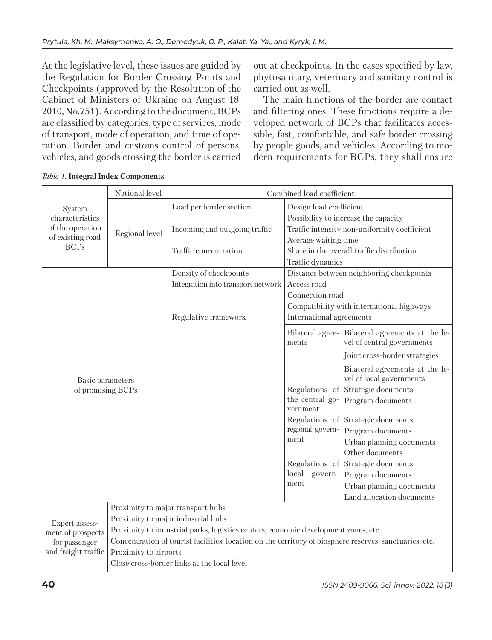At the legislative level, these issues are guided by the Regulation for Border Crossing Points and Checkpoints (approved by the Resolution of the Cabinet of Ministers of Ukraine on August 18, 2010, No.751). According to the document, BCPs are classified by categories, type of services, mode of transport, mode of operation, and time of operation. Border and customs control of persons, vehicles, and goods crossing the border is carried out at checkpoints. In the cases specified by law, phytosanitary, veterinary and sanitary control is carried out as well.

The main functions of the border are contact and filtering ones. These functions require a developed network of BCPs that facilitates accessible, fast, comfortable, and safe border crossing by people goods, and vehicles. According to modern requirements for BCPs, they shall ensure

|                     | National level                    |                                                                                                         | Combined load coefficient   |                                              |
|---------------------|-----------------------------------|---------------------------------------------------------------------------------------------------------|-----------------------------|----------------------------------------------|
| System              |                                   | Load per border section                                                                                 | Design load coefficient     |                                              |
| characteristics     |                                   |                                                                                                         |                             | Possibility to increase the capacity         |
| of the operation    | Regional level                    | Incoming and outgoing traffic                                                                           |                             | Traffic intensity non-uniformity coefficient |
| of existing road    |                                   |                                                                                                         | Average waiting time        |                                              |
| <b>BCPs</b>         |                                   | Traffic concentration                                                                                   |                             | Share in the overall traffic distribution    |
|                     |                                   |                                                                                                         | Traffic dynamics            |                                              |
|                     |                                   | Density of checkpoints                                                                                  |                             | Distance between neighboring checkpoints     |
|                     |                                   | Integration into transport network                                                                      | Access road                 |                                              |
|                     |                                   |                                                                                                         | Connection road             |                                              |
|                     |                                   |                                                                                                         |                             | Compatibility with international highways    |
|                     |                                   | Regulative framework                                                                                    | International agreements    |                                              |
|                     |                                   |                                                                                                         | Bilateral agree-            | Bilateral agreements at the le-              |
|                     |                                   |                                                                                                         | ments                       | vel of central governments                   |
|                     |                                   |                                                                                                         |                             | Joint cross-border strategies                |
|                     |                                   |                                                                                                         |                             | Bilateral agreements at the le-              |
| Basic parameters    |                                   |                                                                                                         |                             | vel of local governments                     |
| of promising BCPs   |                                   |                                                                                                         | Regulations of              | Strategic documents                          |
|                     |                                   |                                                                                                         | the central go-<br>vernment | Program documents                            |
|                     |                                   |                                                                                                         | Regulations of              | Strategic documents                          |
|                     |                                   |                                                                                                         | regional govern-            | Program documents                            |
|                     |                                   |                                                                                                         | ment                        | Urban planning documents                     |
|                     |                                   |                                                                                                         |                             | Other documents                              |
|                     |                                   |                                                                                                         | Regulations of              | Strategic documents                          |
|                     |                                   |                                                                                                         | local<br>govern-            | Program documents                            |
|                     |                                   |                                                                                                         | ment                        | Urban planning documents                     |
|                     |                                   |                                                                                                         |                             | Land allocation documents                    |
|                     | Proximity to major transport hubs |                                                                                                         |                             |                                              |
| Expert assess-      |                                   | Proximity to major industrial hubs                                                                      |                             |                                              |
| ment of prospects   |                                   | Proximity to industrial parks, logistics centers, economic development zones, etc.                      |                             |                                              |
| for passenger       |                                   | Concentration of tourist facilities, location on the territory of biosphere reserves, sanctuaries, etc. |                             |                                              |
| and freight traffic | Proximity to airports             |                                                                                                         |                             |                                              |
|                     |                                   | Close cross-border links at the local level                                                             |                             |                                              |

*Table 1.* **Integral Index Components**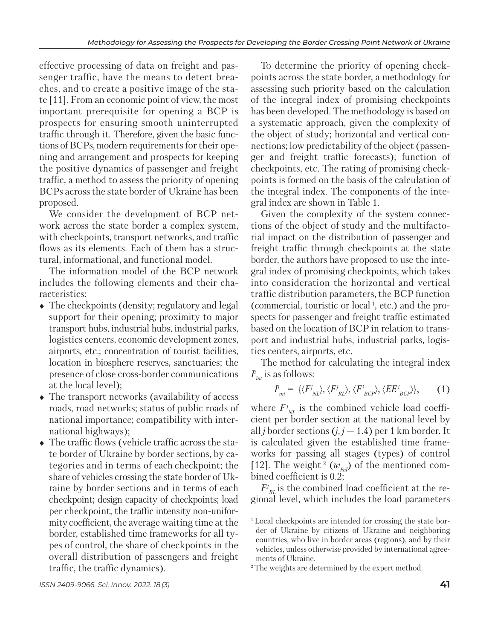effective processing of data on freight and passenger traffic, have the means to detect breaches, and to create a positive image of the state [11]. From an economic point of view, the most important prerequisite for opening a BCP is prospects for ensuring smooth uninterrupted traffic through it. Therefore, given the basic functions of BCPs, modern requirements for their opening and arrangement and prospects for keeping the positive dynamics of passenger and freight traffic, a method to assess the priority of opening BCPs across the state border of Ukraine has been proposed.

We consider the development of BCP network across the state border a complex system, with checkpoints, transport networks, and traffic flows as its elements. Each of them has a structural, informational, and functional model.

The information model of the BCP network includes the following elements and their characteristics:

- The checkpoints (density; regulatory and legal support for their opening; proximity to major transport hubs, industrial hubs, industrial parks, logistics centers, economic development zones, airports, etc.; concentration of tourist facilities, location in biosphere reserves, sanctuaries; the presence of close cross-border communications at the local level);
- The transport networks (availability of access roads, road networks; status of public roads of national importance; compatibility with international highways);
- The traffic flows (vehicle traffic across the state border of Ukraine by border sections, by cate gories and in terms of each checkpoint; the share of vehicles crossing the state border of Ukraine by border sections and in terms of each checkpoint; design capacity of checkpoints; load per checkpoint, the traffic intensity non-uniformity coefficient, the average waiting time at the border, established time frameworks for all types of control, the share of checkpoints in the overall distribution of passengers and freight traffic, the traffic dynamics).

To determine the priority of opening checkpoints across the state border, a methodology for assessing such priority based on the calculation of the integral index of promising checkpoints has been developed. The methodology is based on a systematic approach, given the complexity of the object of study; horizontal and vertical connections; low predictability of the object (passenger and freight traffic forecasts); function of checkpoints, etc. The rating of promising checkpoints is formed on the basis of the calculation of the integral index. The components of the integral index are shown in Table 1.

Given the complexity of the system connections of the object of study and the multifactorial impact on the distribution of passenger and freight traffic through checkpoints at the state border, the authors have proposed to use the integ ral index of promising checkpoints, which takes into consideration the horizontal and vertical traffic distribution parameters, the BCP function (commercial, touristic or local 1, etc.) and the prospects for passenger and freight traffic estimated based on the location of BCP in relation to transport and industrial hubs, industrial parks, logistics centers, airports, etc.

The method for calculating the integral index  $I^i_{\textit{int}}$  is as follows:

$$
I_{\text{int}}^{\text{I}} = \{ \langle F_{\text{NL}}^j \rangle, \langle F_{\text{RL}}^j \rangle, \langle F_{\text{BCP}}^i \rangle, \langle E E_{\text{BCP}}^i \rangle \}, \qquad (1)
$$

where  $F^j_{NL}$  is the combined vehicle load coefficient per border section at the national level by all *j* border sections  $(j, j - \overline{1.4})$  per 1 km border. It is calculated given the established time frameworks for passing all stages (types) of control [12]. The weight  $^{2}$  ( $w_{Fnl}$ ) of the mentioned combined coefficient is 0.2;

 $F^j_{RL}$  is the combined load coefficient at the regional level, which includes the load parameters

<sup>1</sup> Local checkpoints are intended for crossing the state border of Ukraine by citizens of Ukraine and neighboring countries, who live in border areas (regions), and by their vehicles, unless otherwise provided by international agreements of Ukraine.

<sup>2</sup> The weights are determined by the expert method.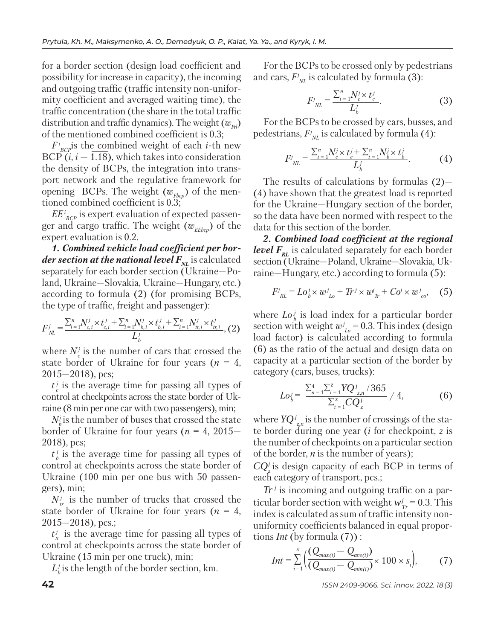for a border section (design load coefficient and possibility for increase in capacity), the incoming and outgoing traffic (traffic intensity non-uniformity coefficient and averaged waiting time), the traffic concentration (the share in the total traffic distribution and traffic dynamics). The weight  $(w_{F})$ of the mentioned combined coefficient is 0.3;

 $F^i_{BCP}$  is the combined weight of each *i*-th new BCP  $(i, i - 1.18)$ , which takes into consideration the density of BCPs, the integration into transport network and the regulative framework for opening BCPs. The weight  $(w_{Fbcp})$  of the mentioned combined coefficient is 0.3;

 $EE^i_{BCP}$  is expert evaluation of expected passenger and cargo traffic. The weight  $(w_{Ether} )$  of the expert evaluation is 0.2.

*1. Combined vehicle load coefficient per border section at the national level*  $F_{N}$  is calculated separately for each border section (Ukraine—Poland, Ukraine—Slovakia, Ukraine—Hungary, etc.) according to formula (2) (for promising BCPs, the type of traffic, freight and passenger):

$$
F_{\substack{\lambda\\N}}^{j} = \frac{\sum_{i=1}^{n} N_{c,i}^{j} \times t_{c,i}^{j} + \sum_{i=1}^{n} N_{b,i}^{j} \times t_{b,i}^{j} + \sum_{i=1}^{n} N_{tr,i}^{j} \times t_{tr,i}^{j}}{L_{b}^{j}}, (2)
$$

where  $N_c^j$  is the number of cars that crossed the state border of Ukraine for four years  $(n = 4,$ 2015—2018), pcs;

 $t_c^j$  is the average time for passing all types of control at checkpoints across the state border of Ukraine (8 min per one car with two passengers), min;

 $N_{b}^{j}$  is the number of buses that crossed the state border of Ukraine for four years (*n* = 4, 2015— 2018), pcs;

 $t_i^j$  is the average time for passing all types of control at checkpoints across the state border of Ukraine (100 min per one bus with 50 passengers), min;

 $N_{tr}^{j}$  is the number of trucks that crossed the state border of Ukraine for four years  $(n = 4,$  $2015 - 2018$ , pcs.;

 $t_{r}^{j}$  is the average time for passing all types of control at checkpoints across the state border of Ukraine (15 min per one truck), min;

 $L_b^j$  is the length of the border section, km.

For the BCPs to be crossed only by pedestrians and cars,  $F^j_{NL}$  is calculated by formula (3):

$$
F_{NL}^{j} = \frac{\sum_{i=1}^{n} N_c^{j} \times t_c^{j}}{L_b^{j}}.
$$
 (3)

For the BCPs to be crossed by cars, busses, and pedestrians,  $F^j_{NL}$  is calculated by formula (4):

$$
F^j_{NL} = \frac{\sum_{i=1}^n N_c^j \times t_c^j + \sum_{i=1}^n N_b^j \times t_b^j}{L_b^j}.
$$
 (4)

The results of calculations by formulas (2)— (4) have shown that the greatest load is reported for the Ukraine—Hungary section of the border, so the data have been normed with respect to the data for this section of the border.

*2. Combined load coefficient at the regional level*  $F_{\text{RT}}$  is calculated separately for each border section (Ukraine—Poland, Ukraine—Slovakia, Ukraine—Hungary, etc.) according to formula (5):

$$
F^{j}_{RL} = Lo^{j}_{b} \times w^{j}_{Lo} + Tr^{j} \times w^{j}_{Tr} + Co^{j} \times w^{j}_{co}, \quad (5)
$$

where  $Lo<sub>b</sub><sup>j</sup>$  is load index for a particular border section with weight  $w_{L_0}^j = 0.3$ . This index (design load factor) is calculated according to formula (6) as the ratio of the actual and design data on capacity at a particular section of the border by category (cars, buses, trucks):

$$
Lo_{b}^{j} = \frac{\sum_{n=1}^{4} \sum_{i=1}^{z} YQ^{j}_{z,n} / 365}{\sum_{i=1}^{z} CQ^{j}_{z}} / 4,
$$
 (6)

where  $YQ^j_{z^n}$  is the number of crossings of the state border during one year (*i* for checkpoint, *z* is the number of checkpoints on a particular section of the border, *n* is the number of years);

 $CQ_z^j$  is design capacity of each BCP in terms of each category of transport, pcs.;

 $Tr<sup>j</sup>$  is incoming and outgoing traffic on a particular border section with weight  $w_{Tr}^j = 0.3$ . This index is calculated as sum of traffic intensity nonuniformity coefficients balanced in equal proportions *Int* (by formula (7)) :

$$
Int = \sum_{i=1}^{N} \Big( \frac{(Q_{max(i)} - Q_{ave(i)})}{(Q_{max(i)} - Q_{min(i)})} \times 100 \times s_i \Big), \qquad (7)
$$

**42** *ISSN 2409-9066. Sci. innov.* 2022. 18 (3)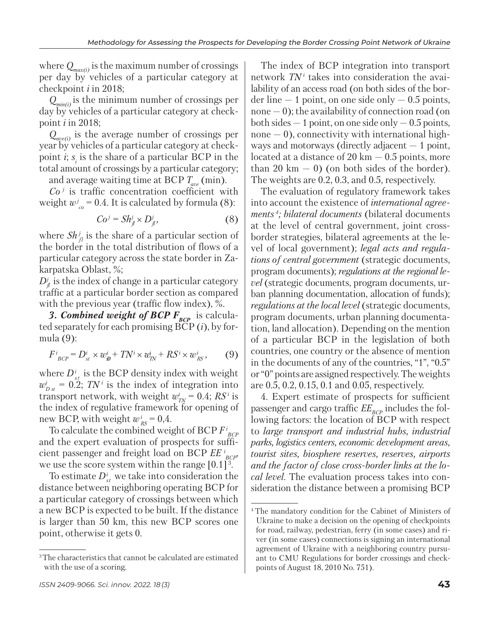where  $Q_{max(i)}$  is the maximum number of crossings per day by vehicles of a particular category at checkpoint *i* in 2018;

*Qmin(i)* is the minimum number of crossings per  $\widetilde{day}$  by vehicles of a particular category at checkpoint *i* in 2018;

*Qave(i)* is the average number of crossings per year by vehicles of a particular category at checkpoint  $i$ ;  $s_i$  is the share of a particular BCP in the total amount of crossings by a particular category; and average waiting time at BCP *Tave* (min).

 $Co<sup>j</sup>$  is traffic concentration coefficient with

weight  $w_{co}^j = 0.4$ . It is calculated by formula (8):

$$
Coj = Shjj \times Djj,
$$
 (8)

where  $\mathcal{S}h_{\scriptscriptstyle{fl}}^j$  is the share of a particular section of the border in the total distribution of flows of a particular category across the state border in Zakarpatska Oblast, %;

 $D^j_{\ell j}$  is the index of change in a particular category traffic at a particular border section as compared with the previous year (traffic flow index), %.

**3. Combined weight of BCP F<sub>BCP</sub>** is calculated separately for each promising BCP (*i*), by formula (9):

$$
F^i_{BCP} = D^i_{st} \times w^i_{sp} + TN^i \times w^i_{IN} + RS^i \times w^i_{RS}, \qquad (9)
$$

where  $D_{st}^i$  is the BCP density index with weight  $w_{Dst}^i = 0.2$ ; *TN*<sup>*i*</sup> is the index of integration into transport network, with weight  $w_{T_N}^i = 0.4$ ;  $RS^i$  is the index of regulative framework for opening of new BCP, with weight  $w_{RS}^i = 0.4$ .

To calculate the combined weight of BCP *F i BCP* and the expert evaluation of prospects for sufficient passenger and freight load on BCP  $EE_{BCP}^i$ , we use the score system within the range  $[0.1]^3$ .

To estimate  $D_{st}^i$  we take into consideration the distance between neighboring operating BCP for a particular category of crossings between which a new BCP is expected to be built. If the distance is larger than 50 km, this new BCP scores one point, otherwise it gets 0.

The index of BCP integration into transport network  $TN<sup>i</sup>$  takes into consideration the availability of an access road (on both sides of the border line  $-1$  point, on one side only  $-0.5$  points,  $none - 0$ ); the availability of connection road (on both sides  $-1$  point, on one side only  $-0.5$  points,  $none - 0$ , connectivity with international highways and motorways (directly adjacent  $-1$  point, located at a distance of 20 km  $-$  0.5 points, more than 20 km  $-$  0) (on both sides of the border). The weights are 0.2, 0.3, and 0.5, respectively.

The evaluation of regulatory framework takes into account the existence of *international agreements 4; bilateral documents* (bilateral documents at the level of central government, joint crossborder strategies, bilateral agreements at the level of local government); *legal acts and regulations of central government* (strategic documents, program documents); *regulations at the regional level* (strategic documents, program documents, urban planning documentation, allocation of funds); *regulations at the local level* (strategic documents, program documents, urban planning documentation, land allocation). Depending on the mention of a particular BCP in the legislation of both countries, one country or the absence of mention in the documents of any of the countries, "1", "0.5" or "0" points are assigned respectively. The weights are 0.5, 0.2, 0.15, 0.1 and 0.05, respectively.

4. Expert estimate of prospects for sufficient passenger and cargo traffic  $EE_{BCP}$  includes the following factors: the location of BCP with respect to *large transport and industrial hubs, industrial parks, logistics centers, economic development areas, tourist sites, biosphere reserves, reserves, airports and the factor of close cross-border links at the local level*. The evaluation process takes into consideration the distance between a promising BCP

<sup>&</sup>lt;sup>3</sup>The characteristics that cannot be calculated are estimated with the use of a scoring.

<sup>4</sup> The mandatory condition for the Cabinet of Ministers of Ukraine to make a decision on the opening of checkpoints for road, railway, pedestrian, ferry (in some cases) and river (in some cases) connections is signing an international agreement of Ukraine with a neighboring country pursuant to CMU Regulations for border crossings and checkpoints of August 18, 2010 No. 751).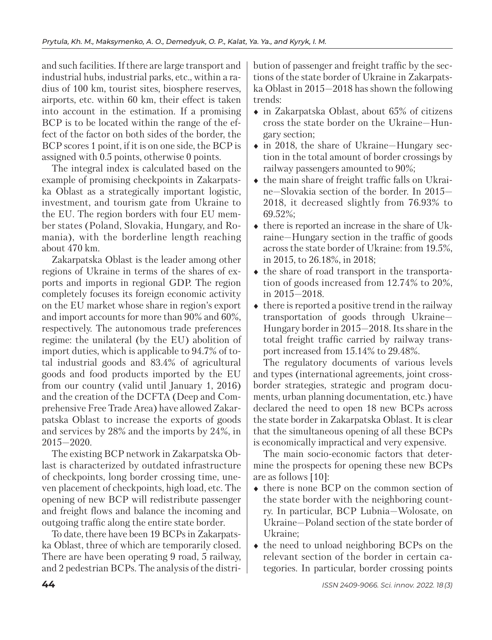and such facilities. If there are large transport and industrial hubs, industrial parks, etc., within a radius of 100 km, tourist sites, biosphere reserves, airports, etc. within 60 km, their effect is taken into account in the estimation. If a promising BCP is to be located within the range of the effect of the factor on both sides of the border, the BCP scores 1 point, if it is on one side, the BCP is assigned with 0.5 points, otherwise 0 points.

The integral index is calculated based on the example of promising checkpoints in Zakarpatska Oblast as a strategically important logistic, investment, and tourism gate from Ukraine to the EU. The region borders with four EU member states (Poland, Slovakia, Hungary, and Romania), with the borderline length reaching about 470 km.

Zakarpatska Oblast is the leader among other regions of Ukraine in terms of the shares of exports and imports in regional GDP. The region completely focuses its foreign economic activity on the EU market whose share in region's export and import accounts for more than 90% and 60%, respectively. The autonomous trade preferences regime: the unilateral (by the EU) abolition of import duties, which is applicable to 94.7% of total industrial goods and 83.4% of agricultural goods and food products imported by the EU from our country (valid until January 1, 2016) and the creation of the DCFTA (Deep and Comprehensive Free Trade Area) have allowed Zakarpatska Oblast to increase the exports of goods and services by 28% and the imports by 24%, in 2015—2020.

The existing BCP network in Zakarpatska Oblast is characterized by outdated infrastructure of checkpoints, long border crossing time, uneven placement of checkpoints, high load, etc. The opening of new BCP will redistribute passenger and freight flows and balance the incoming and outgoing traffic along the entire state border.

To date, there have been 19 BCPs in Zakarpatska Oblast, three of which are temporarily closed. There are have been operating 9 road, 5 railway, and 2 pedestrian BCPs. The analysis of the distri-

bution of passenger and freight traffic by the sections of the state border of Ukraine in Zakarpatska Oblast in 2015—2018 has shown the following trends:

- in Zakarpatska Oblast, about 65% of citizens cross the state border on the Ukraine—Hungary section;
- in 2018, the share of Ukraine—Hungary section in the total amount of border crossings by railway passengers amounted to 90%;
- $\bullet$  the main share of freight traffic falls on Ukraine—Slovakia section of the border. In 2015— 2018, it decreased slightly from 76.93% to 69.52%;
- $\bullet$  there is reported an increase in the share of Ukraine—Hungary section in the traffic of goods across the state border of Ukraine: from 19.5%, in 2015, to 26.18%, in 2018;
- $\bullet$  the share of road transport in the transportation of goods increased from 12.74% to 20%, in 2015—2018.
- $\bullet$  there is reported a positive trend in the railway transportation of goods through Ukraine— Hungary border in 2015—2018. Its share in the total freight traffic carried by railway transport increased from 15.14% to 29.48%.

The regulatory documents of various levels and types (international agreements, joint crossborder strategies, strategic and program documents, urban planning documentation, etc.) have declared the need to open 18 new BCPs across the state border in Zakarpatska Oblast. It is clear that the simultaneous opening of all these BCPs is economically impractical and very expensive.

The main socio-economic factors that determine the prospects for opening these new BCPs are as follows [10]:

- there is none BCP on the common section of the state border with the neighboring country. In particular, BCP Lubnia—Wolosate, on Ukraine—Poland section of the state border of Ukraine;
- the need to unload neighboring BCPs on the relevant section of the border in certain categories. In particular, border crossing points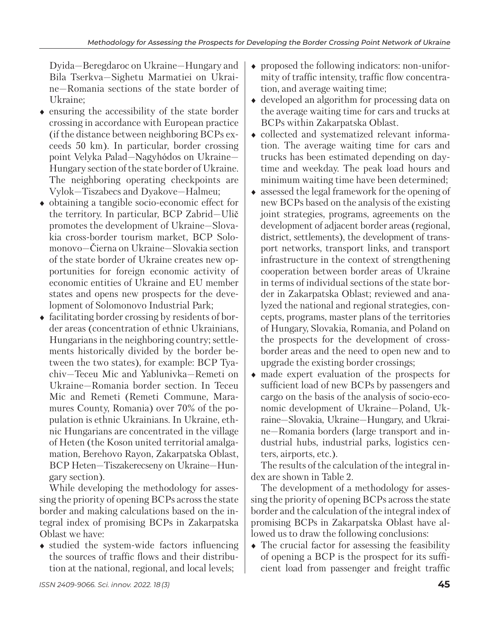Dyida—Beregdaroc on Ukraine—Hungary and Bila Tserkva—Sighetu Marmatiei on Ukraine—Romania sections of the state border of Ukraine;

- $\bullet$  ensuring the accessibility of the state border crossing in accordance with European practice (if the distance between neighboring BCPs exceeds 50 km). In particular, border crossing point Velyka Palad—Nagyhódos on Ukraine— Hungary section of the state border of Ukraine. The neighboring operating checkpoints are Vylok—Tiszabecs and Dyakove—Halmeu;
- obtaining a tangible socio-economic effect for the territory. In particular, BCP Zabrid—Ulič promotes the development of Ukraine—Slovakia cross-border tourism market, BCP Solomonovo—Čierna on Ukraine—Slovakia section of the state border of Ukraine creates new opportunities for foreign economic activity of economic entities of Ukraine and EU member states and opens new prospects for the development of Solomonovo Industrial Park;
- facilitating border crossing by residents of border areas (concentration of ethnic Ukrainians, Hungarians in the neighboring country; settlements historically divided by the border between the two states), for example: BCP Tyachiv—Teceu Mic and Yablunivka—Remeti on Ukraine—Romania border section. In Teceu Mic and Remeti (Remeti Commune, Maramures County, Romania) over 70% of the population is ethnic Ukrainians. In Ukraine, ethnic Hungarians are concentrated in the village of Heten (the Koson united territorial amalgamation, Berehovo Rayon, Zakarpatska Oblast, BCP Heten—Tiszakerecseny on Ukraine—Hungary section).

While developing the methodology for assessing the priority of opening BCPs across the state border and making calculations based on the integral index of promising BCPs in Zakarpatska Oblast we have:

• studied the system-wide factors influencing the sources of traffic flows and their distribution at the national, regional, and local levels;

- proposed the following indicators: non-uniformity of traffic intensity, traffic flow concentration, and average waiting time;
- developed an algorithm for processing data on the average waiting time for cars and trucks at BCPs within Zakarpatska Oblast.
- collected and systematized relevant information. The average waiting time for cars and trucks has been estimated depending on daytime and weekday. The peak load hours and minimum waiting time have been determined;
- assessed the legal framework for the opening of new BCPs based on the analysis of the existing joint strategies, programs, agreements on the development of adjacent border areas (regional, district, settlements), the development of transport networks, transport links, and transport infrastructure in the context of strengthening cooperation between border areas of Ukraine in terms of individual sections of the state border in Zakarpatska Oblast; reviewed and analyzed the national and regional strategies, concepts, programs, master plans of the territories of Hungary, Slovakia, Romania, and Poland on the prospects for the development of crossborder areas and the need to open new and to upgrade the existing border crossings;
- made expert evaluation of the prospects for sufficient load of new BCPs by passengers and cargo on the basis of the analysis of socio-economic development of Ukraine—Poland, Ukraine—Slovakia, Ukraine—Hungary, and Ukraine—Romania borders (large transport and industrial hubs, industrial parks, logistics centers, airports, etc.).

The results of the calculation of the integral index are shown in Table 2.

The development of a methodology for assessing the priority of opening BCPs across the state border and the calculation of the integral index of promising BCPs in Zakarpatska Oblast have allowed us to draw the following conclusions:

• The crucial factor for assessing the feasibility of opening a BCP is the prospect for its sufficient load from passenger and freight traffic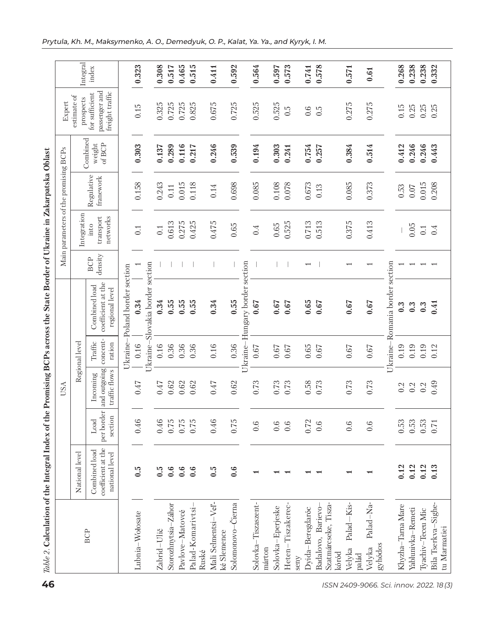|                                          |                                     |                                                       |                               | <b>USA</b>                                |                               |                                                       |                          | Main parameters of the promising BCPs |                         |                              | Expert                                             |          |
|------------------------------------------|-------------------------------------|-------------------------------------------------------|-------------------------------|-------------------------------------------|-------------------------------|-------------------------------------------------------|--------------------------|---------------------------------------|-------------------------|------------------------------|----------------------------------------------------|----------|
|                                          |                                     | National level                                        |                               |                                           | Regional level                |                                                       |                          | Integration                           |                         |                              | estimate of<br>prospects                           | Integral |
|                                          | <b>BCP</b>                          | coefficient at the<br>Combined load<br>national level | per border<br>section<br>Load | and outgoing<br>traffic flows<br>Incoming | concent-<br>Traffic<br>ration | coefficient at the<br>Combined load<br>regional level | density<br><b>BCP</b>    | transport<br>networks                 | Regulative<br>franework | Combined<br>of BCP<br>weight | passenger and<br>freight traffic<br>for sufficient | index    |
|                                          |                                     |                                                       |                               |                                           |                               | Ukraine-Poland border section                         |                          |                                       |                         |                              |                                                    |          |
|                                          | Lubnia-Wołosate                     | $\ddot{c}$                                            | 0.46                          | 0.47                                      | 0.16                          | 0.34                                                  |                          | 0.1                                   | 0.158                   | 0.303                        | 0.15                                               | 0.323    |
|                                          |                                     |                                                       |                               |                                           | Ukraine-                      | Slovakia border section                               |                          |                                       |                         |                              |                                                    |          |
|                                          | Zabrid-Ulič                         | 0.5                                                   | 0.46                          | 0.47                                      | 0.16                          | 0.34                                                  |                          | 0.1                                   | 0.243                   | 0.137                        | 0.325                                              | 0.308    |
|                                          | Storozhnytsia-Záhor                 | 0.6                                                   | 0.75                          | 0.62                                      | 0.36                          | 0.55                                                  |                          | 0.613                                 | $0.11\,$                | 0.289                        | 0.725                                              | 0.517    |
|                                          | Pavlove-Matovcé                     | 0.6                                                   | 0.75                          | 0.62                                      | 0.36                          | 0.55                                                  |                          | 0.275                                 | 0.015                   | 0.116                        | 0.725                                              | 0.465    |
|                                          | Palad-Komarivtsi<br>Ruské           | 0.6                                                   | 0.75                          | 0.62                                      | 0.36                          | 0.55                                                  |                          | 0.425                                 | 0.118                   | 0.217                        | 0.825                                              | 0.515    |
|                                          | Mali Selmentsi-Vel-<br>ké Slemence  | $\ddot{6}$                                            | 0.46                          | 0.47                                      | 0.16                          | 0.34                                                  |                          | 0.475                                 | 0.14                    | 0.246                        | 0.675                                              | 0.411    |
|                                          | Solomonovo-Cierna                   | 0.6                                                   | 0.75                          | 0.62                                      | 0.36                          | 0.55                                                  |                          | 0.65                                  | 0.698                   | 0.539                        | 0.725                                              | 0.592    |
|                                          |                                     |                                                       |                               |                                           |                               | Ukraine-Hungary border section                        |                          |                                       |                         |                              |                                                    |          |
|                                          | Solovka-Tiszaszent-<br>márton       |                                                       | 0.6                           | 0.73                                      | 0.67                          | 0.67                                                  |                          | 0.4                                   | 0.085                   | 0.194                        | 0.525                                              | 0.564    |
|                                          | Solovka-Eperjeske                   |                                                       | 0.6                           | 0.73                                      | 0.67                          | 0.67                                                  |                          | 0.65                                  | 0.108                   | 0.303                        | 0.525                                              | 0.597    |
|                                          | Heten-Tiszakerec-                   | $\overline{\phantom{0}}$                              | 0.6                           | 0.73                                      | 0.67                          | 0.67                                                  |                          | 0.525                                 | 0.078                   | 0.241                        | $\tilde{c}$                                        | 0.573    |
|                                          | Dyida-Beregdaróc<br>seny            |                                                       | 0.72                          | 0.58                                      | 0.65                          | 0.65                                                  | $\overline{\phantom{0}}$ | 0.713                                 | 0.673                   | 0.754                        | 0.6                                                | 0.741    |
|                                          | Badalovo, Barievo-                  |                                                       | 0.6                           | 0.73                                      | 0.67                          | 0.67                                                  |                          | 0.513                                 | 0.13                    | 0.257                        | $\tilde{c}$                                        | 0.578    |
|                                          | Szatmárcseke, Tisza-<br>kóród       |                                                       |                               |                                           |                               |                                                       |                          |                                       |                         |                              |                                                    |          |
|                                          | Palad-Kis-<br>Velyka<br>palád       |                                                       | 0.6                           | 0.73                                      | 0.67                          | 0.67                                                  |                          | 0.375                                 | 0.085                   | 0.384                        | 0.275                                              | 0.571    |
| ISSN 2409-9066. Sci. innov. 2022. 18 (3) | Palad-Na-<br>gyhódos<br>Velyka      |                                                       | 0.6                           | 0.73                                      | $0.67\,$                      | 0.67                                                  |                          | 0.413                                 | 0.373                   | 0.514                        | 0.275                                              | 0.61     |
|                                          |                                     |                                                       |                               |                                           |                               | Ukraine-Romania border section                        |                          |                                       |                         |                              |                                                    |          |
|                                          | Khyzha-Tarna Mare                   | 0.12                                                  | 0.53                          | 0.2                                       | 0.19                          | $0.\overline{3}$                                      |                          |                                       | $0.53\,$                | 0.412                        | 0.15                                               | 0.268    |
|                                          | Yablunivka-Remeti                   | 0.12                                                  | 0.53                          | 0.2                                       | 0.19                          |                                                       |                          | 0.05                                  | $0.07\,$                | 0.246                        | 0.25                                               | 0.238    |
|                                          | Tyachiv-Teceu Mic                   | 0.12                                                  | 0.53                          | 0.2                                       | 0.19                          | $0.\overline{3}$<br>$0.\overline{3}$                  |                          | 0.1                                   | 0.015                   | 0.246                        | 0.25                                               | 0.238    |
|                                          | Bila Tserkva-Sighe-<br>tu Marmatiei | 0.13                                                  | 0.71                          | 0.49                                      | 0.12                          | 0.41                                                  |                          | 0.4                                   | 0.208                   | 0.443                        | 0.25                                               | 0.332    |
|                                          |                                     |                                                       |                               |                                           |                               |                                                       |                          |                                       |                         |                              |                                                    |          |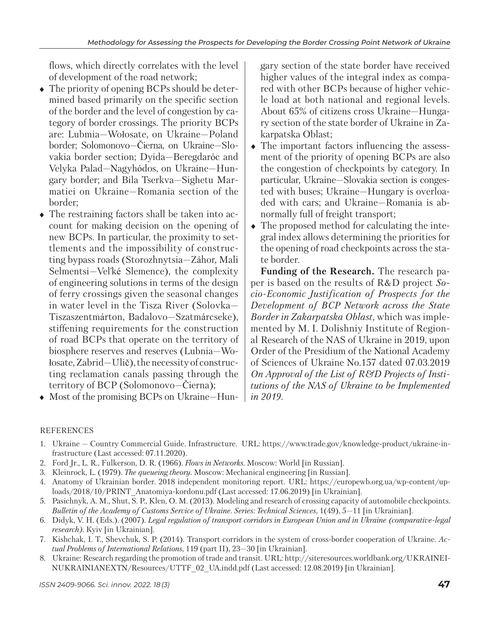flows, which directly correlates with the level of development of the road network;

- $\bullet$  The priority of opening BCPs should be determined based primarily on the specific section of the border and the level of congestion by category of border crossings. The priority BCPs are: Lubmia—Wołosate, on Ukraine—Poland border; Solomonovo—Čierna, on Ukraine—Slovakia border section; Dyida—Beregdaróc and Velyka Palad—Nagyhódos, on Ukraine—Hungary border; and Bila Tserkva—Sighetu Marmatiei on Ukraine—Romania section of the border;
- The restraining factors shall be taken into account for making decision on the opening of new BCPs. In particular, the proximity to settlements and the impossibility of constructing bypass roads (Storozhnytsia—Záhor, Mali Selmentsi—Vel´ké Slemence), the complexity of engineering solutions in terms of the design of ferry crossings given the seasonal changes in water level in the Tisza River (Solovka— Tiszaszentmárton, Badalovo—Szatmárcseke), stiffening requirements for the construction of road BCPs that operate on the territory of biosphere reserves and reserves (Lubnia—Wołosate, Zabrid—Ulič), the necessity of constructing reclamation canals passing through the territory of BCP (Solomonovo—Čierna);
- Most of the promising BCPs on Ukraine—Hun-

gary section of the state border have received higher values of the integral index as compared with other BCPs because of higher vehicle load at both national and regional levels. About 65% of citizens cross Ukraine—Hungary section of the state border of Ukraine in Zakarpatska Oblast;

- The important factors influencing the assessment of the priority of opening BCPs are also the congestion of checkpoints by category. In particular, Ukraine—Slovakia section is congested with buses; Ukraine—Hungary is overloaded with cars; and Ukraine—Romania is abnormally full of freight transport;
- The proposed method for calculating the integral index allows determining the priorities for the opening of road checkpoints across the state border.

**Funding of the Research.** The research paper is based on the results of R&D project *Socio-Economic Justification of Prospects for the Development of BCP Network across the State Border in Zakarpatska Oblast*, which was implemented by M. I. Dolishniy Institute of Regional Research of the NAS of Ukraine in 2019, upon Order of the Presidium of the National Academy of Sciences of Ukraine No.157 dated 07.03.2019 *On Approval of the List of R&D Projects of Institutions of the NAS of Ukraine to be Implemented in 2019*.

## **REFERENCES**

- 1. Ukraine Country Commercial Guide. Infrastructure. URL: https://www.trade.gov/knowledge-product/ukraine-infrastructure (Last accessed: 07.11.2020).
- 2. Ford Jr., L. R., Fulkerson, D. R. (1966). *Flows in Networks*. Moscow: World [in Russian].
- 3. Kleinrock, L. (1979). *The queueing theory*. Moscow: Mechanical engineering [in Russian].
- 4. Anatomy of Ukrainian border. 2018 independent monitoring report. URL: https://europewb.org.ua/wp-content/uploads/2018/10/PRINT\_Anatomiya-kordonu.pdf (Last accessed: 17.06.2019) [in Ukrainian].
- 5. Pasichnyk, А. М., Shut, S. P., Klen, О. М. (2013). Modeling and research of crossing capacity of automobile checkpoints. *Bulletin of the Academy of Customs Service of Ukraine. Series: Technical Sciences*, 1(49), 5—11 [in Ukrainian].
- 6. Didyk, V. H. (Eds.). (2007). *Legal regulation of transport corridors in European Union and in Ukraine (comparative-legal research)*. Кyiv [in Ukrainian].
- 7. Kishchak, І. Т., Shevchuk, S. P. (2014). Transport corridors in the system of cross-border cooperation of Ukraine. *Actual Problems of International Relations*, 119 (part ІІ), 23—30 [in Ukrainian].
- 8. Ukraine: Research regarding the promotion of trade and transit. URL: http://siteresources.worldbank.org/UKRAINEI-NUKRAINIANEXTN/Resources/UTTF\_02\_UA.indd.pdf (Last accessed: 12.08.2019) [in Ukrainian].